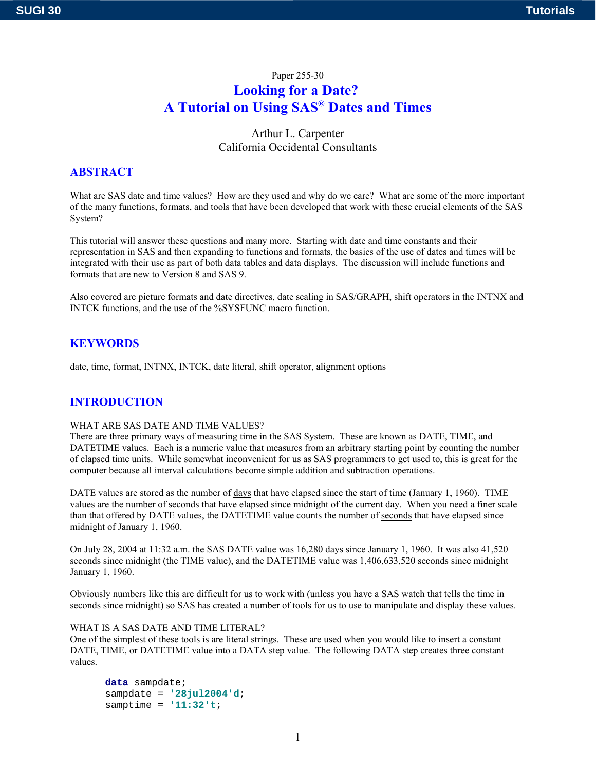# Paper 255-30 **Looking for a Date? A Tutorial on Using SAS® Dates and Times**

Arthur L. Carpenter California Occidental Consultants

# **ABSTRACT**

What are SAS date and time values? How are they used and why do we care? What are some of the more important of the many functions, formats, and tools that have been developed that work with these crucial elements of the SAS System?

This tutorial will answer these questions and many more. Starting with date and time constants and their representation in SAS and then expanding to functions and formats, the basics of the use of dates and times will be integrated with their use as part of both data tables and data displays. The discussion will include functions and formats that are new to Version 8 and SAS 9.

Also covered are picture formats and date directives, date scaling in SAS/GRAPH, shift operators in the INTNX and INTCK functions, and the use of the %SYSFUNC macro function.

### **KEYWORDS**

date, time, format, INTNX, INTCK, date literal, shift operator, alignment options

# **INTRODUCTION**

#### WHAT ARE SAS DATE AND TIME VALUES?

There are three primary ways of measuring time in the SAS System. These are known as DATE, TIME, and DATETIME values. Each is a numeric value that measures from an arbitrary starting point by counting the number of elapsed time units. While somewhat inconvenient for us as SAS programmers to get used to, this is great for the computer because all interval calculations become simple addition and subtraction operations.

DATE values are stored as the number of days that have elapsed since the start of time (January 1, 1960). TIME values are the number of seconds that have elapsed since midnight of the current day. When you need a finer scale than that offered by DATE values, the DATETIME value counts the number of seconds that have elapsed since midnight of January 1, 1960.

On July 28, 2004 at 11:32 a.m. the SAS DATE value was 16,280 days since January 1, 1960. It was also 41,520 seconds since midnight (the TIME value), and the DATETIME value was 1,406,633,520 seconds since midnight January 1, 1960.

Obviously numbers like this are difficult for us to work with (unless you have a SAS watch that tells the time in seconds since midnight) so SAS has created a number of tools for us to use to manipulate and display these values.

#### WHAT IS A SAS DATE AND TIME LITERAL?

One of the simplest of these tools is are literal strings. These are used when you would like to insert a constant DATE, TIME, or DATETIME value into a DATA step value. The following DATA step creates three constant values.

**data** sampdate; sampdate = **'28jul2004'd**; samptime = **'11:32't**;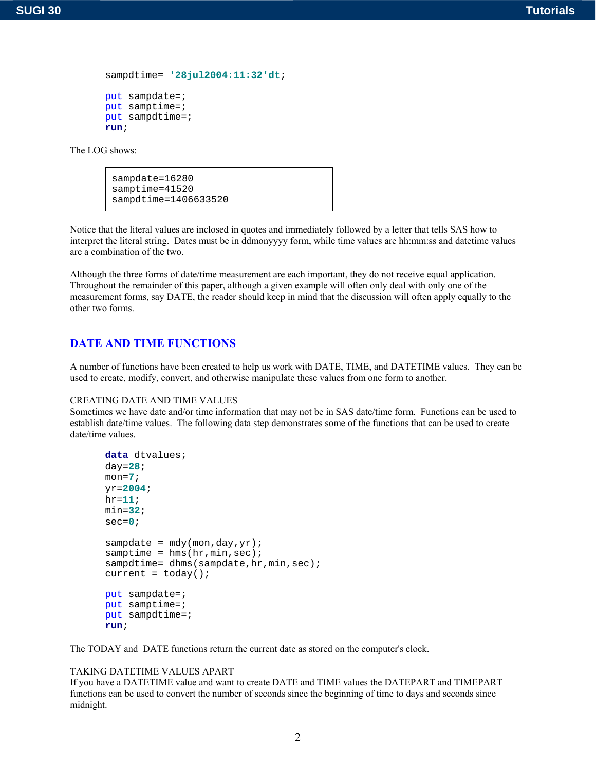```
sampdtime= '28jul2004:11:32'dt;
```

```
put sampdate=;
put samptime=;
put sampdtime=;
run;
```

```
sampdate=16280
samptime=41520
sampdtime=1406633520
```
Notice that the literal values are inclosed in quotes and immediately followed by a letter that tells SAS how to interpret the literal string. Dates must be in ddmonyyyy form, while time values are hh:mm:ss and datetime values are a combination of the two.

Although the three forms of date/time measurement are each important, they do not receive equal application. Throughout the remainder of this paper, although a given example will often only deal with only one of the measurement forms, say DATE, the reader should keep in mind that the discussion will often apply equally to the other two forms.

# **DATE AND TIME FUNCTIONS**

A number of functions have been created to help us work with DATE, TIME, and DATETIME values. They can be used to create, modify, convert, and otherwise manipulate these values from one form to another.

#### CREATING DATE AND TIME VALUES

Sometimes we have date and/or time information that may not be in SAS date/time form. Functions can be used to establish date/time values. The following data step demonstrates some of the functions that can be used to create date/time values.

```
data dtvalues;
day=28;
mon=7;
yr=2004;
hr=11;
min=32;
sec=0;
sampdate = mdy (mon, day, yr);
samptime = hms(hr,min,sec);
sampdtime= dhms(sampdate,hr,min,sec);
current = today();
put sampdate=;
put samptime=;
put sampdtime=;
run;
```
The TODAY and DATE functions return the current date as stored on the computer's clock.

#### TAKING DATETIME VALUES APART

If you have a DATETIME value and want to create DATE and TIME values the DATEPART and TIMEPART functions can be used to convert the number of seconds since the beginning of time to days and seconds since midnight.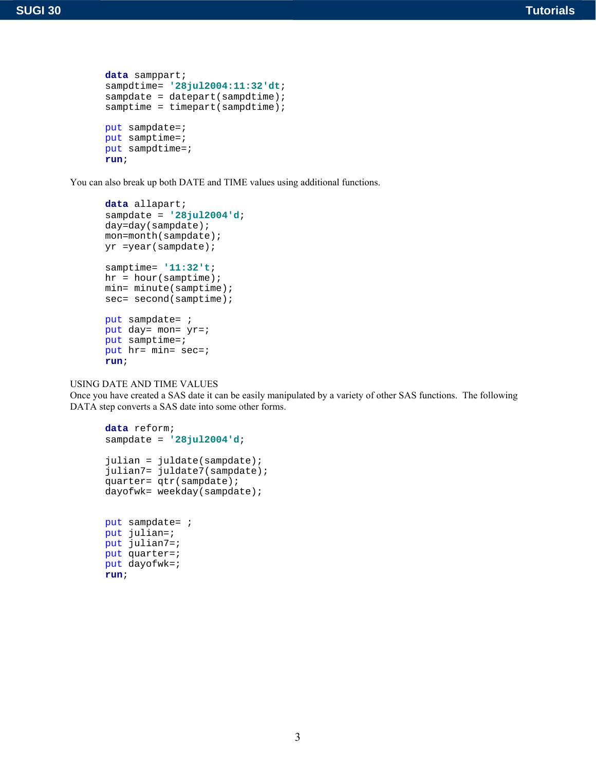```
data samppart;
sampdtime= '28jul2004:11:32'dt;
sampdate = datepart(sampdtime);
samptime = timepart(sampdtime);
put sampdate=;
put samptime=;
put sampdtime=;
run;
```
You can also break up both DATE and TIME values using additional functions.

```
data allapart;
sampdate = '28jul2004'd;
day=day(sampdate);
mon=month(sampdate);
yr =year(sampdate);
samptime= '11:32't;
hr = hour(samptime);min= minute(samptime);
sec= second(samptime);
put sampdate= ;
put day= mon= yr=;
put samptime=;
put hr= min= sec=;
run;
```
USING DATE AND TIME VALUES

Once you have created a SAS date it can be easily manipulated by a variety of other SAS functions. The following DATA step converts a SAS date into some other forms.

```
data reform;
sampdate = '28jul2004'd;
julian = juldate(sampdate);
julian7= juldate7(sampdate);
quarter= qtr(sampdate);
dayofwk= weekday(sampdate);
put sampdate= ;
put julian=;
put julian7=;
put quarter=;
put dayofwk=;
run;
```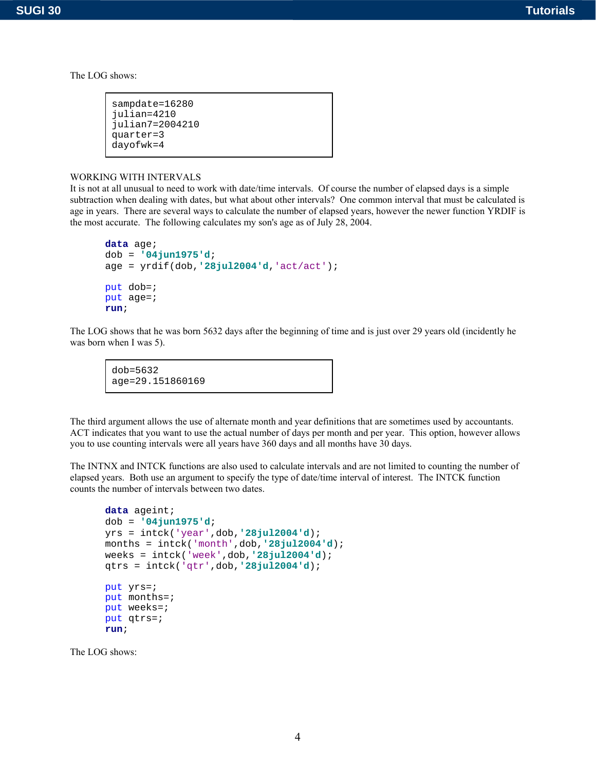```
sampdate=16280
julian=4210
julian7=2004210
quarter=3
dayofwk=4
```
### WORKING WITH INTERVALS

It is not at all unusual to need to work with date/time intervals. Of course the number of elapsed days is a simple subtraction when dealing with dates, but what about other intervals? One common interval that must be calculated is age in years. There are several ways to calculate the number of elapsed years, however the newer function YRDIF is the most accurate. The following calculates my son's age as of July 28, 2004.

```
data age;
dob = '04jun1975'd;
age = yrdif(dob,'28jul2004'd,'act/act');
put dob=;
put age=;
run;
```
The LOG shows that he was born 5632 days after the beginning of time and is just over 29 years old (incidently he was born when I was 5).

dob=5632 age=29.151860169

The third argument allows the use of alternate month and year definitions that are sometimes used by accountants. ACT indicates that you want to use the actual number of days per month and per year. This option, however allows you to use counting intervals were all years have 360 days and all months have 30 days.

The INTNX and INTCK functions are also used to calculate intervals and are not limited to counting the number of elapsed years. Both use an argument to specify the type of date/time interval of interest. The INTCK function counts the number of intervals between two dates.

```
data ageint;
dob = '04jun1975'd;
yrs = intck('year',dob,'28jul2004'd);
months = intck('month',dob,'28jul2004'd);
weeks = intck('week',dob,'28jul2004'd);
qtrs = intck('qtr',dob,'28jul2004'd);
put yrs=;
put months=;
put weeks=;
put qtrs=;
run;
```
The LOG shows: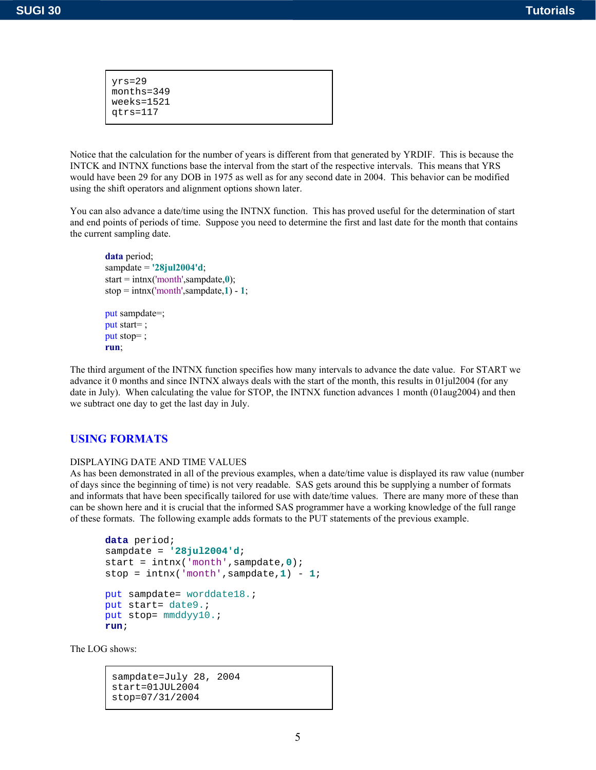| yrs=29<br>$months = 349$<br>$weeks = 1521$<br>qtrs=117 |  |
|--------------------------------------------------------|--|
|                                                        |  |

Notice that the calculation for the number of years is different from that generated by YRDIF. This is because the INTCK and INTNX functions base the interval from the start of the respective intervals. This means that YRS would have been 29 for any DOB in 1975 as well as for any second date in 2004. This behavior can be modified using the shift operators and alignment options shown later.

You can also advance a date/time using the INTNX function. This has proved useful for the determination of start and end points of periods of time. Suppose you need to determine the first and last date for the month that contains the current sampling date.

```
data period;
sampdate = '28jul2004'd;
start = intnx('month',sampdate,0);
stop = \text{intnx}('month'.sample,1) - 1;
put sampdate=;
put start= ;
put stop= ;
run;
```
The third argument of the INTNX function specifies how many intervals to advance the date value. For START we advance it 0 months and since INTNX always deals with the start of the month, this results in 01jul2004 (for any date in July). When calculating the value for STOP, the INTNX function advances 1 month (01aug2004) and then we subtract one day to get the last day in July.

### **USING FORMATS**

#### DISPLAYING DATE AND TIME VALUES

As has been demonstrated in all of the previous examples, when a date/time value is displayed its raw value (number of days since the beginning of time) is not very readable. SAS gets around this be supplying a number of formats and informats that have been specifically tailored for use with date/time values. There are many more of these than can be shown here and it is crucial that the informed SAS programmer have a working knowledge of the full range of these formats. The following example adds formats to the PUT statements of the previous example.

```
data period;
sampdate = '28jul2004'd;
start = intnx('month',sampdate,0);
stop = intnx('month',sample,1) - 1;put sampdate= worddate18.;
put start= date9.;
put stop= mmddyy10.;
run;
```
The LOG shows:

sampdate=July 28, 2004 start=01JUL2004 stop=07/31/2004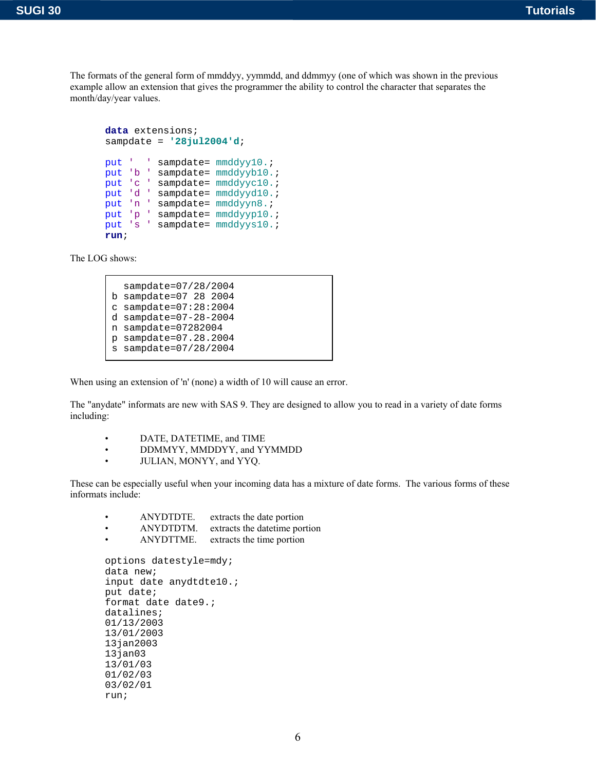The formats of the general form of mmddyy, yymmdd, and ddmmyy (one of which was shown in the previous example allow an extension that gives the programmer the ability to control the character that separates the month/day/year values.

```
data extensions;
sampdate = '28jul2004'd;
put ' ' sampdate= mmddyy10.;
put 'b ' sampdate= mmddyyb10.;
put 'c ' sampdate= mmddyyc10.;
put 'd ' sampdate= mmddyyd10.;
put 'n ' sampdate= mmddyyn8.;
put 'p ' sampdate= mmddyyp10.;
put 's ' sampdate= mmddyys10.;
run;
```
The LOG shows:

run;

```
 sampdate=07/28/2004
b sampdate=07 28 2004
c sampdate=07:28:2004
d sampdate=07-28-2004
n sampdate=07282004
p sampdate=07.28.2004
s sampdate=07/28/2004
```
When using an extension of 'n' (none) a width of 10 will cause an error.

The "anydate" informats are new with SAS 9. They are designed to allow you to read in a variety of date forms including:

- DATE, DATETIME, and TIME
- DDMMYY, MMDDYY, and YYMMDD
- JULIAN, MONYY, and YYQ.

These can be especially useful when your incoming data has a mixture of date forms. The various forms of these informats include:

• ANYDTDTE. extracts the date portion<br>• ANYDTDTM. extracts the date time por • ANYDTDTM. extracts the datetime portion • ANYDTTME. extracts the time portion options datestyle=mdy; data new; input date anydtdte10.; put date; format date date9.; datalines; 01/13/2003 13/01/2003 13jan2003  $13$ jan $03$ 13/01/03 01/02/03 03/02/01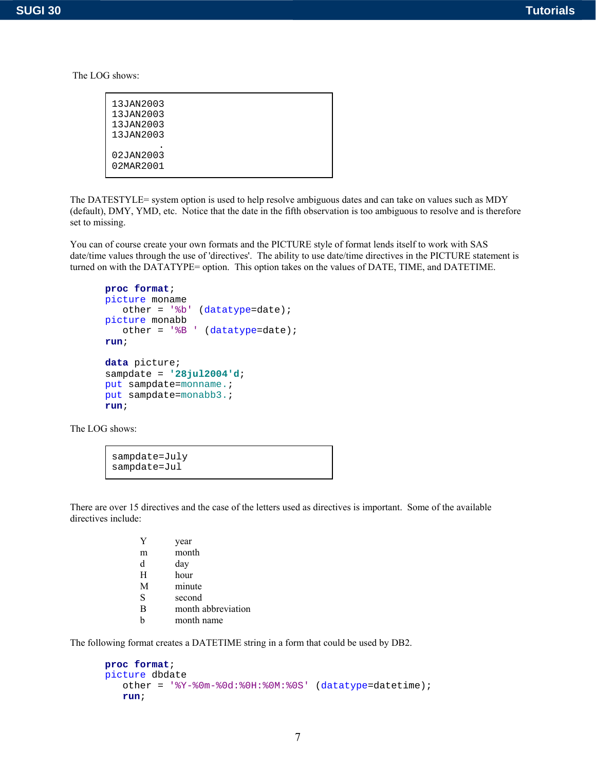| 13JAN2003 |  |
|-----------|--|
|           |  |
| 13JAN2003 |  |
| 13JAN2003 |  |
| 13JAN2003 |  |
|           |  |
| 02JAN2003 |  |
| 02MAR2001 |  |
|           |  |

The DATESTYLE= system option is used to help resolve ambiguous dates and can take on values such as MDY (default), DMY, YMD, etc. Notice that the date in the fifth observation is too ambiguous to resolve and is therefore set to missing.

You can of course create your own formats and the PICTURE style of format lends itself to work with SAS date/time values through the use of 'directives'. The ability to use date/time directives in the PICTURE statement is turned on with the DATATYPE= option. This option takes on the values of DATE, TIME, and DATETIME.

```
proc format;
picture moname
    other = '%b' (datatype=date);
picture monabb
    other = '%B ' (datatype=date);
run;
data picture;
sampdate = '28jul2004'd;
put sampdate=monname.;
put sampdate=monabb3.;
run;
```
The LOG shows:

```
sampdate=July
sampdate=Jul
```
There are over 15 directives and the case of the letters used as directives is important. Some of the available directives include:

| Y | year               |
|---|--------------------|
| m | month              |
| d | day                |
| H | hour               |
| M | minute             |
| S | second             |
| B | month abbreviation |
| h | month name         |

The following format creates a DATETIME string in a form that could be used by DB2.

```
proc format;
picture dbdate
    other = '%Y-%0m-%0d:%0H:%0M:%0S' (datatype=datetime);
    run;
```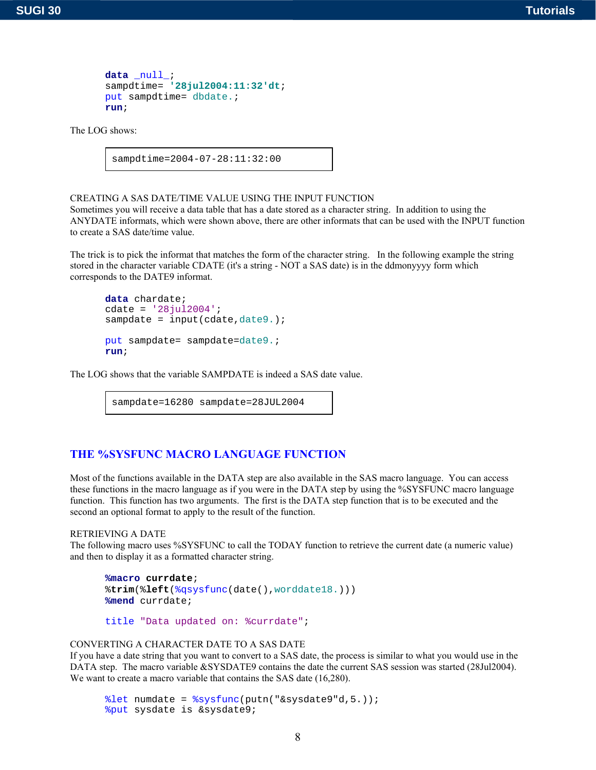```
data _null_;
sampdtime= '28jul2004:11:32'dt;
put sampdtime= dbdate.;
run;
```
sampdtime=2004-07-28:11:32:00

CREATING A SAS DATE/TIME VALUE USING THE INPUT FUNCTION

Sometimes you will receive a data table that has a date stored as a character string. In addition to using the ANYDATE informats, which were shown above, there are other informats that can be used with the INPUT function to create a SAS date/time value.

The trick is to pick the informat that matches the form of the character string. In the following example the string stored in the character variable CDATE (it's a string - NOT a SAS date) is in the ddmonyyyy form which corresponds to the DATE9 informat.

```
data chardate;
cdate = '28jul2004';
sampdate = input(cdate,date9.);
put sampdate= sampdate=date9.;
run;
```
The LOG shows that the variable SAMPDATE is indeed a SAS date value.

```
sampdate=16280 sampdate=28JUL2004
```
# **THE %SYSFUNC MACRO LANGUAGE FUNCTION**

Most of the functions available in the DATA step are also available in the SAS macro language. You can access these functions in the macro language as if you were in the DATA step by using the %SYSFUNC macro language function. This function has two arguments. The first is the DATA step function that is to be executed and the second an optional format to apply to the result of the function.

#### RETRIEVING A DATE

The following macro uses %SYSFUNC to call the TODAY function to retrieve the current date (a numeric value) and then to display it as a formatted character string.

```
%macro currdate;
%trim(%left(%qsysfunc(date(),worddate18.)))
%mend currdate;
```

```
title "Data updated on: %currdate";
```
### CONVERTING A CHARACTER DATE TO A SAS DATE

If you have a date string that you want to convert to a SAS date, the process is similar to what you would use in the DATA step. The macro variable &SYSDATE9 contains the date the current SAS session was started (28Jul2004). We want to create a macro variable that contains the SAS date (16,280).

```
%let numdate = %sysfunc(putn("&sysdate9"d,5.));
%put sysdate is &sysdate9;
```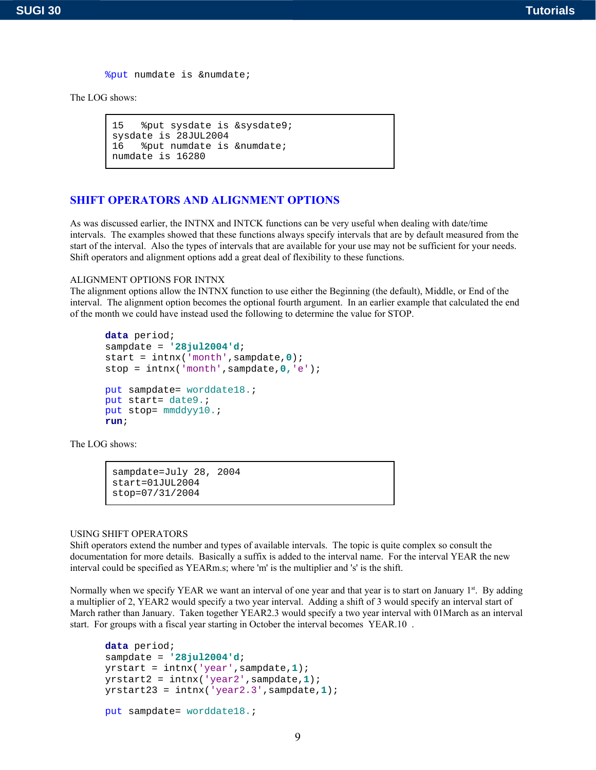```
%put numdate is &numdate;
```

```
15 %put sysdate is &sysdate9;
sysdate is 28JUL2004
16 %put numdate is &numdate;
numdate is 16280
```
# **SHIFT OPERATORS AND ALIGNMENT OPTIONS**

As was discussed earlier, the INTNX and INTCK functions can be very useful when dealing with date/time intervals. The examples showed that these functions always specify intervals that are by default measured from the start of the interval. Also the types of intervals that are available for your use may not be sufficient for your needs. Shift operators and alignment options add a great deal of flexibility to these functions.

#### ALIGNMENT OPTIONS FOR INTNX

The alignment options allow the INTNX function to use either the Beginning (the default), Middle, or End of the interval. The alignment option becomes the optional fourth argument. In an earlier example that calculated the end of the month we could have instead used the following to determine the value for STOP.

```
data period;
sampdate = '28jul2004'd;
start = intnx('month',sampdate,0);
stop = intnx('month',sampdate,0,'e');
put sampdate= worddate18.;
put start= date9.;
put stop= mmddyy10.;
run;
```
The LOG shows:

```
sampdate=July 28, 2004
start=01JUL2004
stop=07/31/2004
```
### USING SHIFT OPERATORS

Shift operators extend the number and types of available intervals. The topic is quite complex so consult the documentation for more details. Basically a suffix is added to the interval name. For the interval YEAR the new interval could be specified as YEARm.s; where 'm' is the multiplier and 's' is the shift.

Normally when we specify YEAR we want an interval of one year and that year is to start on January  $1<sup>st</sup>$ . By adding a multiplier of 2, YEAR2 would specify a two year interval. Adding a shift of 3 would specify an interval start of March rather than January. Taken together YEAR2.3 would specify a two year interval with 01March as an interval start. For groups with a fiscal year starting in October the interval becomes YEAR.10 .

```
data period;
sampdate = '28jul2004'd;
yrstart = intnx('year',sampdate,1);
yrstart2 = intnx('year2',sampdate,1);
yrstart23 = intnx('year2.3',sampdate,1);
put sampdate= worddate18.;
```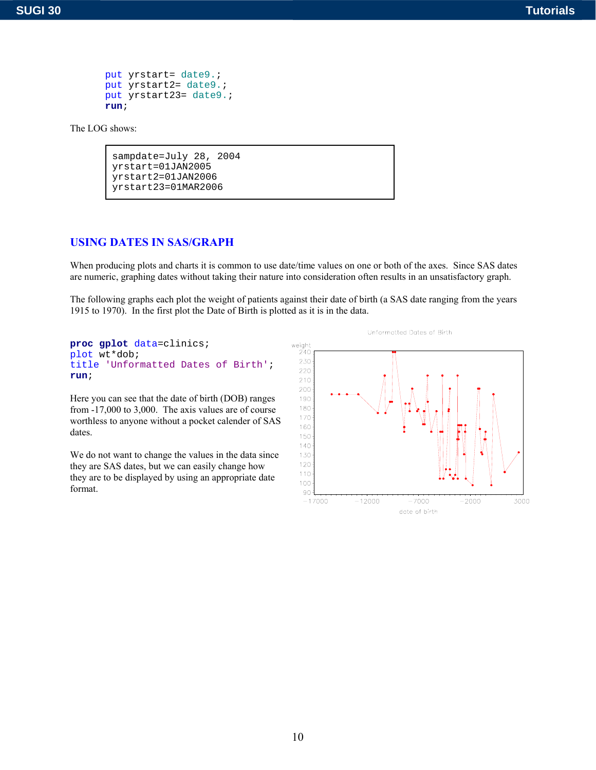```
put yrstart= date9.;
put yrstart2= date9.;
put yrstart23= date9.;
run;
```

```
sampdate=July 28, 2004
yrstart=01JAN2005
yrstart2=01JAN2006
yrstart23=01MAR2006
```
# **USING DATES IN SAS/GRAPH**

When producing plots and charts it is common to use date/time values on one or both of the axes. Since SAS dates are numeric, graphing dates without taking their nature into consideration often results in an unsatisfactory graph.

The following graphs each plot the weight of patients against their date of birth (a SAS date ranging from the years 1915 to 1970). In the first plot the Date of Birth is plotted as it is in the data.



Here you can see that the date of birth (DOB) ranges from -17,000 to 3,000. The axis values are of course worthless to anyone without a pocket calender of SAS dates.

We do not want to change the values in the data since they are SAS dates, but we can easily change how they are to be displayed by using an appropriate date format.

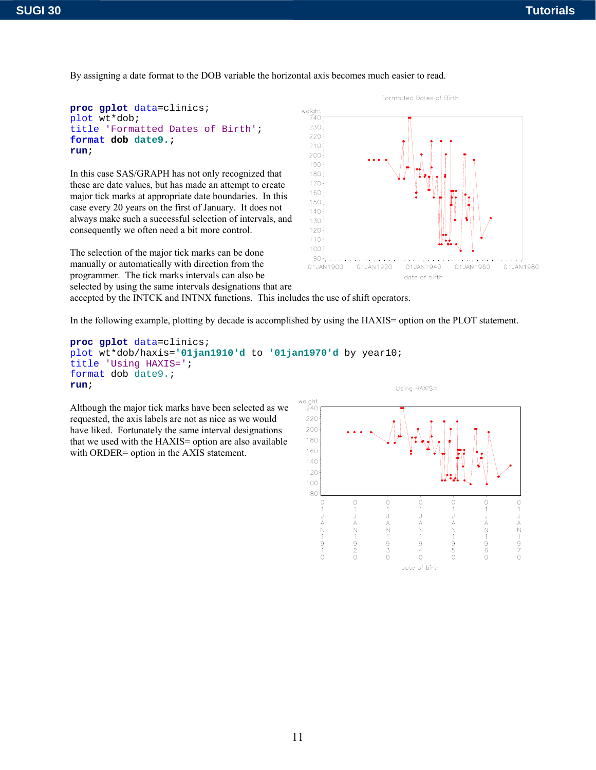By assigning a date format to the DOB variable the horizontal axis becomes much easier to read.

```
proc gplot data=clinics;
plot wt*dob;
title 'Formatted Dates of Birth';
format dob date9.;
run;
```
In this case SAS/GRAPH has not only recognized that these are date values, but has made an attempt to create major tick marks at appropriate date boundaries. In this case every 20 years on the first of January. It does not always make such a successful selection of intervals, and consequently we often need a bit more control.

The selection of the major tick marks can be done manually or automatically with direction from the programmer. The tick marks intervals can also be selected by using the same intervals designations that are



accepted by the INTCK and INTNX functions. This includes the use of shift operators.

In the following example, plotting by decade is accomplished by using the HAXIS= option on the PLOT statement.

```
proc gplot data=clinics;
plot wt*dob/haxis='01jan1910'd to '01jan1970'd by year10;
title 'Using HAXIS=';
format dob date9.;
run;
```
Although the major tick marks have been selected as we requested, the axis labels are not as nice as we would have liked. Fortunately the same interval designations that we used with the HAXIS= option are also available with ORDER= option in the AXIS statement.

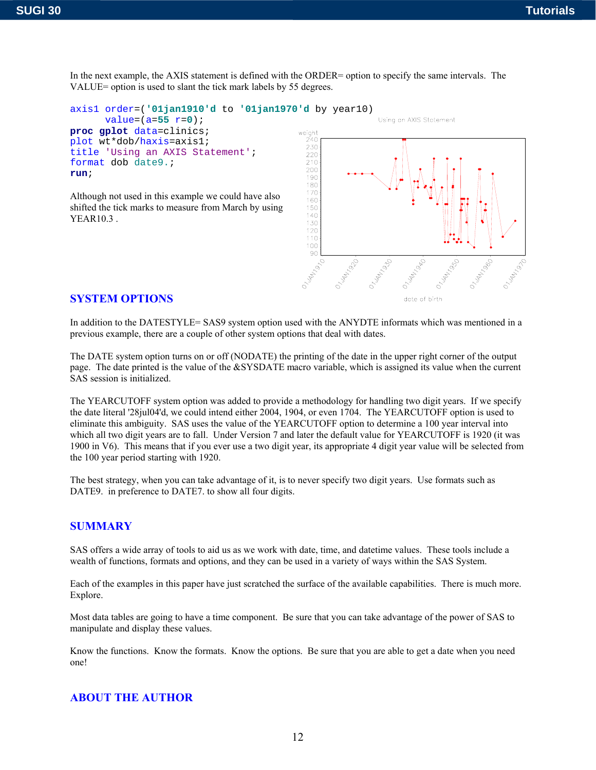VALUE= option is used to slant the tick mark labels by 55 degrees. axis1 order=(**'01jan1910'd** to **'01jan1970'd** by year10) Using an AXIS Statement  $value = (a = 55 \ r = 0);$ **proc gplot** data=clinics; weight plot wt\*dob/haxis=axis1;  $240$ 230 title 'Using an AXIS Statement';

In the next example, the AXIS statement is defined with the ORDER= option to specify the same intervals. The

Although not used in this example we could have also shifted the tick marks to measure from March by using YEAR10.3 .



### **SYSTEM OPTIONS**

format dob date9.;

**run**;

In addition to the DATESTYLE= SAS9 system option used with the ANYDTE informats which was mentioned in a previous example, there are a couple of other system options that deal with dates.

The DATE system option turns on or off (NODATE) the printing of the date in the upper right corner of the output page. The date printed is the value of the &SYSDATE macro variable, which is assigned its value when the current SAS session is initialized.

The YEARCUTOFF system option was added to provide a methodology for handling two digit years. If we specify the date literal '28jul04'd, we could intend either 2004, 1904, or even 1704. The YEARCUTOFF option is used to eliminate this ambiguity. SAS uses the value of the YEARCUTOFF option to determine a 100 year interval into which all two digit years are to fall. Under Version 7 and later the default value for YEARCUTOFF is 1920 (it was 1900 in V6). This means that if you ever use a two digit year, its appropriate 4 digit year value will be selected from the 100 year period starting with 1920.

The best strategy, when you can take advantage of it, is to never specify two digit years. Use formats such as DATE9. in preference to DATE7. to show all four digits.

### **SUMMARY**

SAS offers a wide array of tools to aid us as we work with date, time, and datetime values. These tools include a wealth of functions, formats and options, and they can be used in a variety of ways within the SAS System.

Each of the examples in this paper have just scratched the surface of the available capabilities. There is much more. Explore.

Most data tables are going to have a time component. Be sure that you can take advantage of the power of SAS to manipulate and display these values.

Know the functions. Know the formats. Know the options. Be sure that you are able to get a date when you need one!

# **ABOUT THE AUTHOR**